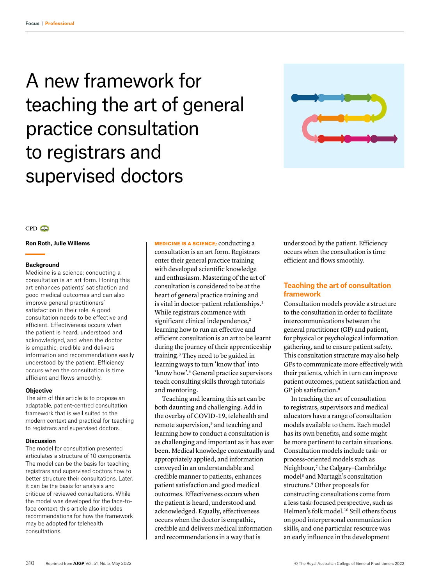# A new framework for teaching the art of general practice consultation to registrars and supervised doctors



## **Ron Roth, Julie Willems**

## **Background**

Medicine is a science; conducting a consultation is an art form. Honing this art enhances patients' satisfaction and good medical outcomes and can also improve general practitioners' satisfaction in their role. A good consultation needs to be effective and efficient. Effectiveness occurs when the patient is heard, understood and acknowledged, and when the doctor is empathic, credible and delivers information and recommendations easily understood by the patient. Efficiency occurs when the consultation is time efficient and flows smoothly.

## **Objective**

The aim of this article is to propose an adaptable, patient-centred consultation framework that is well suited to the modern context and practical for teaching to registrars and supervised doctors.

## **Discussion**

The model for consultation presented articulates a structure of 10 components. The model can be the basis for teaching registrars and supervised doctors how to better structure their consultations. Later, it can be the basis for analysis and critique of reviewed consultations. While the model was developed for the face-toface context, this article also includes recommendations for how the framework may be adopted for telehealth consultations.

MEDICINE IS A SCIENCE; conducting a consultation is an art form. Registrars enter their general practice training with developed scientific knowledge and enthusiasm. Mastering of the art of consultation is considered to be at the heart of general practice training and is vital in doctor-patient relationships.<sup>1</sup> While registrars commence with significant clinical independence,<sup>2</sup> learning how to run an effective and efficient consultation is an art to be learnt during the journey of their apprenticeship training.3 They need to be guided in learning ways to turn 'know that' into 'know how'.4 General practice supervisors teach consulting skills through tutorials and mentoring.

Teaching and learning this art can be both daunting and challenging. Add in the overlay of COVID-19, telehealth and remote supervision,<sup>5</sup> and teaching and learning how to conduct a consultation is as challenging and important as it has ever been. Medical knowledge contextually and appropriately applied, and information conveyed in an understandable and credible manner to patients, enhances patient satisfaction and good medical outcomes. Effectiveness occurs when the patient is heard, understood and acknowledged. Equally, effectiveness occurs when the doctor is empathic, credible and delivers medical information and recommendations in a way that is

understood by the patient. Efficiency occurs when the consultation is time efficient and flows smoothly.

# **Teaching the art of consultation framework**

Consultation models provide a structure to the consultation in order to facilitate intercommunications between the general practitioner (GP) and patient, for physical or psychological information gathering, and to ensure patient safety. This consultation structure may also help GPs to communicate more effectively with their patients, which in turn can improve patient outcomes, patient satisfaction and GP job satisfaction.6

In teaching the art of consultation to registrars, supervisors and medical educators have a range of consultation models available to them. Each model has its own benefits, and some might be more pertinent to certain situations. Consultation models include task- or process-oriented models such as Neighbour,7 the Calgary-Cambridge model8 and Murtagh's consultation structure.9 Other proposals for constructing consultations come from a less task-focused perspective, such as Helmen's folk model.10 Still others focus on good interpersonal communication skills, and one particular resource was an early influence in the development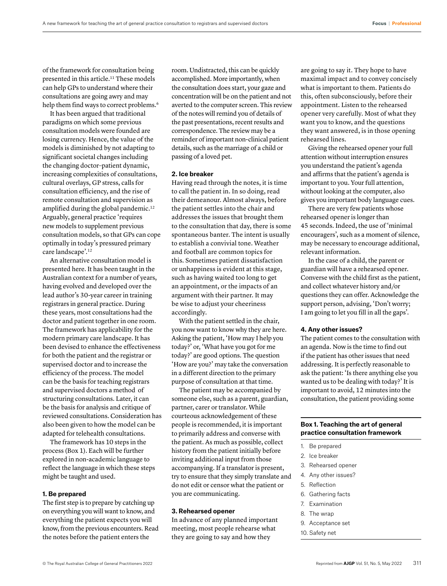of the framework for consultation being presented in this article.<sup>11</sup> These models can help GPs to understand where their consultations are going awry and may help them find ways to correct problems.<sup>6</sup>

It has been argued that traditional paradigms on which some previous consultation models were founded are losing currency. Hence, the value of the models is diminished by not adapting to significant societal changes including the changing doctor–patient dynamic, increasing complexities of consultations, cultural overlays, GP stress, calls for consultation efficiency, and the rise of remote consultation and supervision as amplified during the global pandemic.<sup>12</sup> Arguably, general practice 'requires new models to supplement previous consultation models, so that GPs can cope optimally in today's pressured primary care landscape'.<sup>12</sup>

An alternative consultation model is presented here. It has been taught in the Australian context for a number of years, having evolved and developed over the lead author's 30-year career in training registrars in general practice. During these years, most consultations had the doctor and patient together in one room. The framework has applicability for the modern primary care landscape. It has been devised to enhance the effectiveness for both the patient and the registrar or supervised doctor and to increase the efficiency of the process. The model can be the basis for teaching registrars and supervised doctors a method of structuring consultations. Later, it can be the basis for analysis and critique of reviewed consultations. Consideration has also been given to how the model can be adapted for telehealth consultations.

The framework has 10 steps in the process (Box 1). Each will be further explored in non-academic language to reflect the language in which these steps might be taught and used.

# **1. Be prepared**

The first step is to prepare by catching up on everything you will want to know, and everything the patient expects you will know, from the previous encounters. Read the notes before the patient enters the

room. Undistracted, this can be quickly accomplished. More importantly, when the consultation does start, your gaze and concentration will be on the patient and not averted to the computer screen. This review of the notes will remind you of details of the past presentations, recent results and correspondence. The review may be a reminder of important non-clinical patient details, such as the marriage of a child or passing of a loved pet.

## **2. Ice breaker**

Having read through the notes, it is time to call the patient in. In so doing, read their demeanour. Almost always, before the patient settles into the chair and addresses the issues that brought them to the consultation that day, there is some spontaneous banter. The intent is usually to establish a convivial tone. Weather and football are common topics for this. Sometimes patient dissatisfaction or unhappiness is evident at this stage, such as having waited too long to get an appointment, or the impacts of an argument with their partner. It may be wise to adjust your cheeriness accordingly.

With the patient settled in the chair, you now want to know why they are here. Asking the patient, 'How may I help you today?' or, 'What have you got for me today?' are good options. The question 'How are you?' may take the conversation in a different direction to the primary purpose of consultation at that time.

The patient may be accompanied by someone else, such as a parent, guardian, partner, carer or translator. While courteous acknowledgement of these people is recommended, it is important to primarily address and converse with the patient. As much as possible, collect history from the patient initially before inviting additional input from those accompanying. If a translator is present, try to ensure that they simply translate and do not edit or censor what the patient or you are communicating.

# **3. Rehearsed opener**

In advance of any planned important meeting, most people rehearse what they are going to say and how they

are going to say it. They hope to have maximal impact and to convey concisely what is important to them. Patients do this, often subconsciously, before their appointment. Listen to the rehearsed opener very carefully. Most of what they want you to know, and the questions they want answered, is in those opening rehearsed lines.

Giving the rehearsed opener your full attention without interruption ensures you understand the patient's agenda and affirms that the patient's agenda is important to you. Your full attention, without looking at the computer, also gives you important body language cues.

There are very few patients whose rehearsed opener is longer than 45 seconds. Indeed, the use of 'minimal encouragers', such as a moment of silence, may be necessary to encourage additional, relevant information.

In the case of a child, the parent or guardian will have a rehearsed opener. Converse with the child first as the patient, and collect whatever history and/or questions they can offer. Acknowledge the support person, advising, 'Don't worry; I am going to let you fill in all the gaps'.

## **4. Any other issues?**

The patient comes to the consultation with an agenda. Now is the time to find out if the patient has other issues that need addressing. It is perfectly reasonable to ask the patient: 'Is there anything else you wanted us to be dealing with today?' It is important to avoid, 12 minutes into the consultation, the patient providing some

# **Box 1. Teaching the art of general practice consultation framework**

- 1. Be prepared
- 2. Ice breaker
- 3. Rehearsed opener
- 4. Any other issues?
- 5. Reflection
- 6. Gathering facts
- 7. Examination
- 8. The wrap
- 9. Acceptance set
- 10. Safety net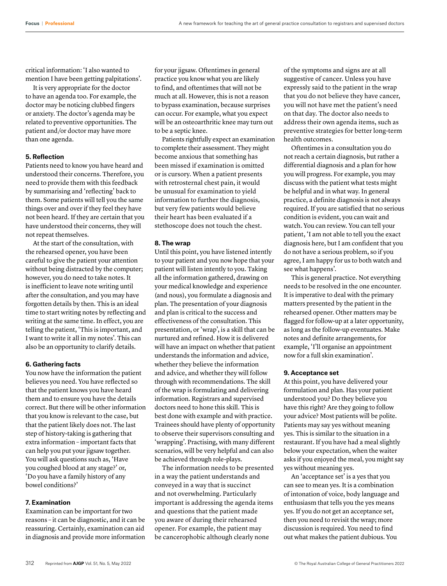critical information: 'I also wanted to mention I have been getting palpitations'.

It is very appropriate for the doctor to have an agenda too. For example, the doctor may be noticing clubbed fingers or anxiety. The doctor's agenda may be related to preventive opportunities. The patient and/or doctor may have more than one agenda.

# **5. Reflection**

Patients need to know you have heard and understood their concerns. Therefore, you need to provide them with this feedback by summarising and 'reflecting' back to them. Some patients will tell you the same things over and over if they feel they have not been heard. If they are certain that you have understood their concerns, they will not repeat themselves.

At the start of the consultation, with the rehearsed opener, you have been careful to give the patient your attention without being distracted by the computer; however, you do need to take notes. It is inefficient to leave note writing until after the consultation, and you may have forgotten details by then. This is an ideal time to start writing notes by reflecting and writing at the same time. In effect, you are telling the patient, 'This is important, and I want to write it all in my notes'. This can also be an opportunity to clarify details.

# **6. Gathering facts**

You now have the information the patient believes you need. You have reflected so that the patient knows you have heard them and to ensure you have the details correct. But there will be other information that you know is relevant to the case, but that the patient likely does not. The last step of history-taking is gathering that extra information – important facts that can help you put your jigsaw together. You will ask questions such as, 'Have you coughed blood at any stage?' or, 'Do you have a family history of any bowel conditions?'

# **7. Examination**

Examination can be important for two reasons – it can be diagnostic, and it can be reassuring. Certainly, examination can aid in diagnosis and provide more information for your jigsaw. Oftentimes in general practice you know what you are likely to find, and oftentimes that will not be much at all. However, this is not a reason to bypass examination, because surprises can occur. For example, what you expect will be an osteoarthritic knee may turn out to be a septic knee.

Patients rightfully expect an examination to complete their assessment. They might become anxious that something has been missed if examination is omitted or is cursory. When a patient presents with retrosternal chest pain, it would be unusual for examination to yield information to further the diagnosis, but very few patients would believe their heart has been evaluated if a stethoscope does not touch the chest.

# **8. The wrap**

Until this point, you have listened intently to your patient and you now hope that your patient will listen intently to you. Taking all the information gathered, drawing on your medical knowledge and experience (and nous), you formulate a diagnosis and plan. The presentation of your diagnosis and plan is critical to the success and effectiveness of the consultation. This presentation, or 'wrap', is a skill that can be nurtured and refined. How it is delivered will have an impact on whether that patient understands the information and advice, whether they believe the information and advice, and whether they will follow through with recommendations. The skill of the wrap is formulating and delivering information. Registrars and supervised doctors need to hone this skill. This is best done with example and with practice. Trainees should have plenty of opportunity to observe their supervisors consulting and 'wrapping'. Practising, with many different scenarios, will be very helpful and can also be achieved through role-plays.

The information needs to be presented in a way the patient understands and conveyed in a way that is succinct and not overwhelming. Particularly important is addressing the agenda items and questions that the patient made you aware of during their rehearsed opener. For example, the patient may be cancerophobic although clearly none

of the symptoms and signs are at all suggestive of cancer. Unless you have expressly said to the patient in the wrap that you do not believe they have cancer, you will not have met the patient's need on that day. The doctor also needs to address their own agenda items, such as preventive strategies for better long-term health outcomes.

Oftentimes in a consultation you do not reach a certain diagnosis, but rather a differential diagnosis and a plan for how you will progress. For example, you may discuss with the patient what tests might be helpful and in what way. In general practice, a definite diagnosis is not always required. If you are satisfied that no serious condition is evident, you can wait and watch. You can review. You can tell your patient, 'I am not able to tell you the exact diagnosis here, but I am confident that you do not have a serious problem, so if you agree, I am happy for us to both watch and see what happens'.

This is general practice. Not everything needs to be resolved in the one encounter. It is imperative to deal with the primary matters presented by the patient in the rehearsed opener. Other matters may be flagged for follow-up at a later opportunity, as long as the follow-up eventuates. Make notes and definite arrangements, for example, 'I'll organise an appointment now for a full skin examination'.

# **9. Acceptance set**

At this point, you have delivered your formulation and plan. Has your patient understood you? Do they believe you have this right? Are they going to follow your advice? Most patients will be polite. Patients may say yes without meaning yes. This is similar to the situation in a restaurant. If you have had a meal slightly below your expectation, when the waiter asks if you enjoyed the meal, you might say yes without meaning yes.

An 'acceptance set' is a yes that you can see to mean yes. It is a combination of intonation of voice, body language and enthusiasm that tells you the yes means yes. If you do not get an acceptance set, then you need to revisit the wrap; more discussion is required. You need to find out what makes the patient dubious. You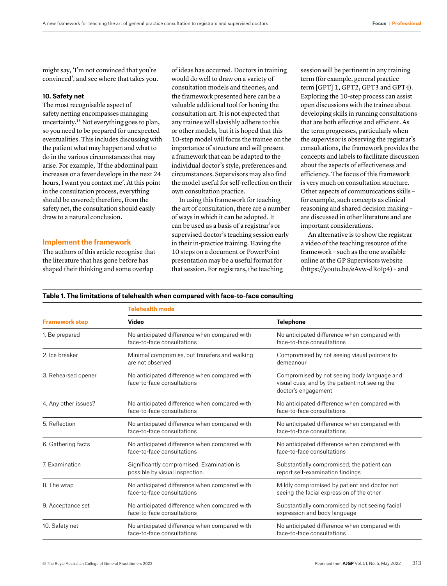might say, 'I'm not convinced that you're convinced', and see where that takes you.

# **10. Safety net**

The most recognisable aspect of safety netting encompasses managing uncertainty.13 Not everything goes to plan, so you need to be prepared for unexpected eventualities. This includes discussing with the patient what may happen and what to do in the various circumstances that may arise. For example, 'If the abdominal pain increases or a fever develops in the next 24 hours, I want you contact me'. At this point in the consultation process, everything should be covered; therefore, from the safety net, the consultation should easily draw to a natural conclusion.

# **Implement the framework**

The authors of this article recognise that the literature that has gone before has shaped their thinking and some overlap

of ideas has occurred. Doctors in training would do well to draw on a variety of consultation models and theories, and the framework presented here can be a valuable additional tool for honing the consultation art. It is not expected that any trainee will slavishly adhere to this or other models, but it is hoped that this 10-step model will focus the trainee on the importance of structure and will present a framework that can be adapted to the individual doctor's style, preferences and circumstances. Supervisors may also find the model useful for self-reflection on their own consultation practice.

In using this framework for teaching the art of consultation, there are a number of ways in which it can be adopted. It can be used as a basis of a registrar's or supervised doctor's teaching session early in their in-practice training. Having the 10 steps on a document or PowerPoint presentation may be a useful format for that session. For registrars, the teaching

session will be pertinent in any training term (for example, general practice term [GPT] 1, GPT2, GPT3 and GPT4). Exploring the 10-step process can assist open discussions with the trainee about developing skills in running consultations that are both effective and efficient. As the term progresses, particularly when the supervisor is observing the registrar's consultations, the framework provides the concepts and labels to facilitate discussion about the aspects of effectiveness and efficiency. The focus of this framework is very much on consultation structure. Other aspects of communications skills – for example, such concepts as clinical reasoning and shared decision making – are discussed in other literature and are important considerations.

An alternative is to show the registrar a video of the teaching resource of the framework – such as the one available online at the GP Supervisors website ([https://youtu.be/eAvw-dRoIp4\)](https://youtu.be/eAvw-dRoIp4) – and

## **Table 1. The limitations of telehealth when compared with face-to-face consulting**

| <b>Framework step</b> | <b>Telehealth mode</b>                                                      |                                                                                                                      |
|-----------------------|-----------------------------------------------------------------------------|----------------------------------------------------------------------------------------------------------------------|
|                       | Video                                                                       | <b>Telephone</b>                                                                                                     |
| 1. Be prepared        | No anticipated difference when compared with<br>face-to-face consultations  | No anticipated difference when compared with<br>face-to-face consultations                                           |
| 2. Ice breaker        | Minimal compromise, but transfers and walking<br>are not observed           | Compromised by not seeing visual pointers to<br>demeanour                                                            |
| 3. Rehearsed opener   | No anticipated difference when compared with<br>face-to-face consultations  | Compromised by not seeing body language and<br>visual cues, and by the patient not seeing the<br>doctor's engagement |
| 4. Any other issues?  | No anticipated difference when compared with<br>face-to-face consultations  | No anticipated difference when compared with<br>face-to-face consultations                                           |
| 5. Reflection         | No anticipated difference when compared with<br>face-to-face consultations  | No anticipated difference when compared with<br>face-to-face consultations                                           |
| 6. Gathering facts    | No anticipated difference when compared with<br>face-to-face consultations  | No anticipated difference when compared with<br>face-to-face consultations                                           |
| 7. Examination        | Significantly compromised. Examination is<br>possible by visual inspection. | Substantially compromised; the patient can<br>report self-examination findings                                       |
| 8. The wrap           | No anticipated difference when compared with<br>face-to-face consultations  | Mildly compromised by patient and doctor not<br>seeing the facial expression of the other                            |
| 9. Acceptance set     | No anticipated difference when compared with<br>face-to-face consultations  | Substantially compromised by not seeing facial<br>expression and body language                                       |
| 10. Safety net        | No anticipated difference when compared with<br>face-to-face consultations  | No anticipated difference when compared with<br>face-to-face consultations                                           |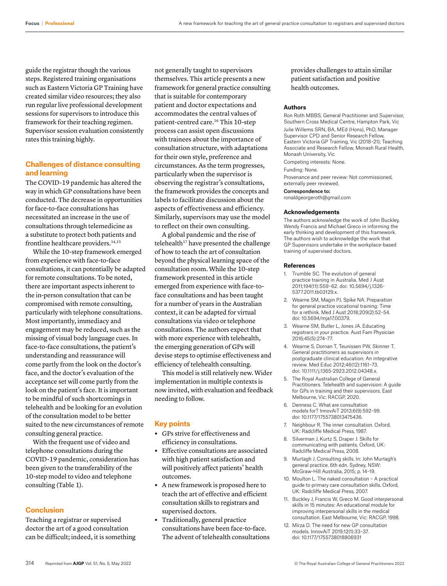guide the registrar though the various steps. Registered training organisations such as Eastern Victoria GP Training have created similar video resources; they also run regular live professional development sessions for supervisors to introduce this framework for their teaching regimen. Supervisor session evaluation consistently rates this training highly.

# **Challenges of distance consulting and learning**

The COVID-19 pandemic has altered the way in which GP consultations have been conducted. The decrease in opportunities for face-to-face consultations has necessitated an increase in the use of consultations through telemedicine as a substitute to protect both patients and frontline healthcare providers.14,15

While the 10-step framework emerged from experience with face-to-face consultations, it can potentially be adapted for remote consultations. To be noted, there are important aspects inherent to the in-person consultation that can be compromised with remote consulting, particularly with telephone consultations. Most importantly, immediacy and engagement may be reduced, such as the missing of visual body language cues. In face-to-face consultations, the patient's understanding and reassurance will come partly from the look on the doctor's face, and the doctor's evaluation of the acceptance set will come partly from the look on the patient's face. It is important to be mindful of such shortcomings in telehealth and be looking for an evolution of the consultation model to be better suited to the new circumstances of remote consulting general practice.

With the frequent use of video and telephone consultations during the COVID-19 pandemic, consideration has been given to the transferability of the 10-step model to video and telephone consulting (Table 1).

## **Conclusion**

Teaching a registrar or supervised doctor the art of a good consultation can be difficult; indeed, it is something not generally taught to supervisors themselves. This article presents a new framework for general practice consulting that is suitable for contemporary patient and doctor expectations and accommodates the central values of patient-centred care.16 This 10-step process can assist open discussions with trainees about the importance of consultation structure, with adaptations for their own style, preference and circumstances. As the term progresses, particularly when the supervisor is observing the registrar's consultations, the framework provides the concepts and labels to facilitate discussion about the aspects of effectiveness and efficiency. Similarly, supervisors may use the model to reflect on their own consulting.

A global pandemic and the rise of telehealth $17$  have presented the challenge of how to teach the art of consultation beyond the physical learning space of the consultation room. While the 10-step framework presented in this article emerged from experience with face-toface consultations and has been taught for a number of years in the Australian context, it can be adapted for virtual consultations via video or telephone consultations. The authors expect that with more experience with telehealth, the emerging generation of GPs will devise steps to optimise effectiveness and efficiency of telehealth consulting.

This model is still relatively new. Wider implementation in multiple contexts is now invited, with evaluation and feedback needing to follow.

# **Key points**

- **•** GPs strive for effectiveness and efficiency in consultations.
- **•** Effective consultations are associated with high patient satisfaction and will positively affect patients' health outcomes.
- **•** A new framework is proposed here to teach the art of effective and efficient consultation skills to registrars and supervised doctors.
- **•** Traditionally, general practice consultations have been face-to-face. The advent of telehealth consultations

provides challenges to attain similar patient satisfaction and positive health outcomes.

#### **Authors**

Ron Roth MBBS, General Practitioner and Supervisor, Southern Cross Medical Centre, Hampton Park, Vic Julie Willems SRN, BA, MEd (Hons), PhD, Manager Supervisor CPD and Senior Research Fellow, Eastern Victoria GP Training, Vic (2018–21); Teaching Associate and Research Fellow, Monash Rural Health, Monash University, Vic

Competing interests: None.

Funding: None.

Provenance and peer review: Not commissioned, externally peer reviewed.

## Correspondence to:

ronaldgeorgeroth@gmail.com

### **Acknowledgements**

The authors acknowledge the work of John Buckley, Wendy Francis and Michael Greco in informing the early thinking and development of this framework. The authors wish to acknowledge the work that GP Supervisors undertake in the workplace-based training of supervised doctors.

#### **References**

- 1. Trumble SC. The evolution of general practice training in Australia. Med J Aust 2011;194(11):S59–62. doi: 10.5694/j.1326- 5377.2011.tb03129.x.
- 2. Wearne SM, Magin PJ, Spike NA. Preparation for general practice vocational training: Time for a rethink. Med J Aust 2018;209(2):52–54. doi: 10.5694/mja17.00379.
- 3. Wearne SM, Butler L, Jones JA. Educating registrars in your practice. Aust Fam Physician 2016;45(5):274–77.
- 4. Wearne S, Dornan T, Teunissen PW, Skinner T. General practitioners as supervisors in postgraduate clinical education: An integrative review. Med Educ 2012;46(12):1161–73. doi: 10.1111/j.1365-2923.2012.04348.x.
- 5. The Royal Australian College of General Practitioners. Telehealth and supervision: A guide for GPs in training and their supervisors. East Melbourne, Vic: RACGP, 2020.
- 6. Denness C. What are consultation models for? InnovAiT 2013;6(9):592–99. doi: 10.1177/1755738013475436.
- 7. Neighbour R. The inner consultation. Oxford, UK: Radcliffe Medical Press, 1987.
- 8. Silverman J, Kurtz S, Draper J. Skills for communicating with patients. Oxford, UK: Radcliffe Medical Press, 2008.
- 9. Murtagh J. Consulting skills. In: John Murtagh's general practice. 6th edn. Sydney, NSW: McGraw-Hill Australia, 2015; p. 14–19.
- 10. Moulton L. The naked consultation A practical guide to primary care consultation skills. Oxford, UK: Radcliffe Medical Press, 2007.
- 11. Buckley J, Francis W, Greco M. Good interpersonal skills in 15 minutes: An educational module for improving interpersonal skills in the medical consultation. East Melbourne, Vic: RACGP, 1998.
- 12. Mirza D. The need for new GP consultation models. InnovAiT 2019;12(1):33–37. doi: 10.1177/1755738018806931